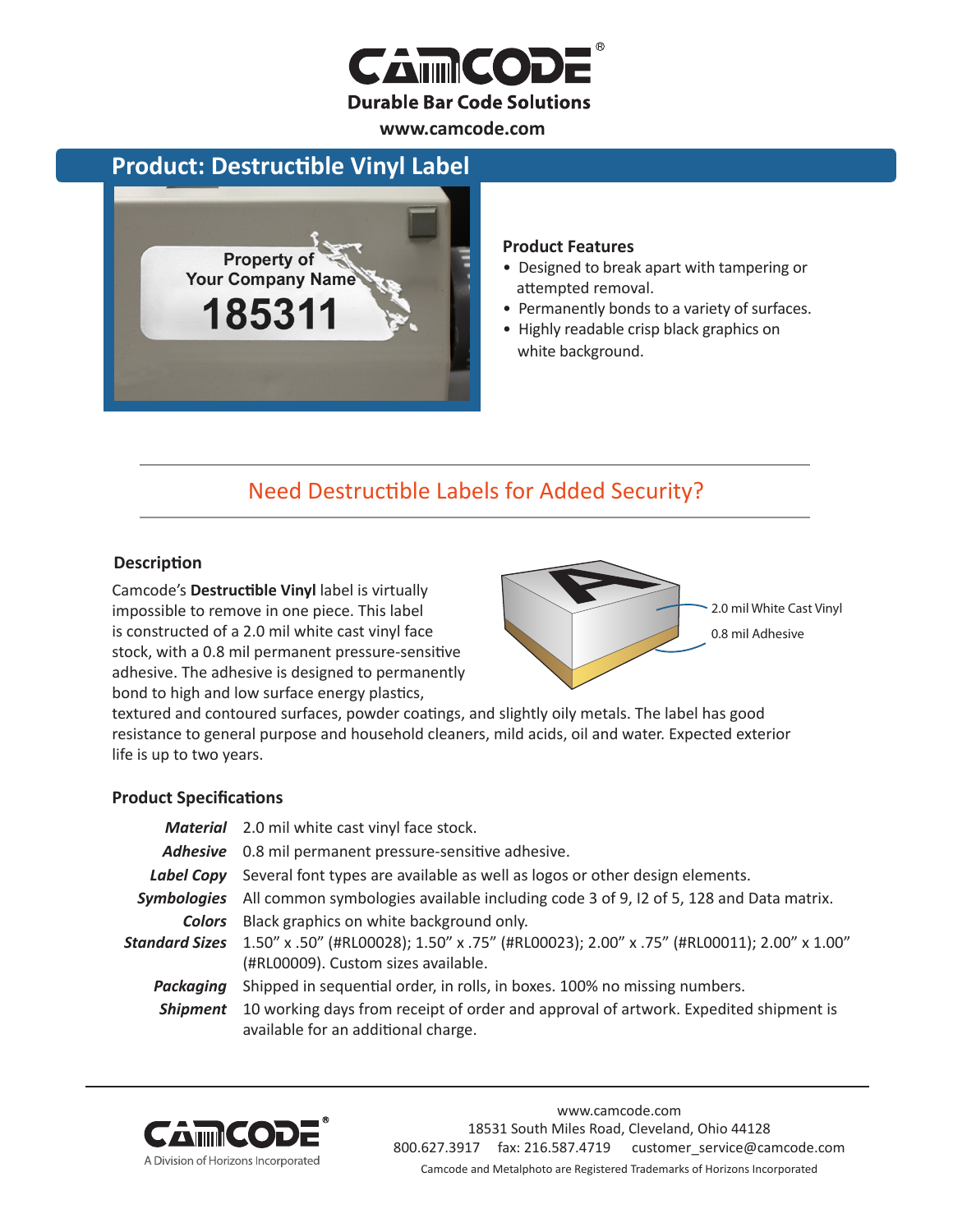

**www.camcode.com**

### **Product: Destructible Vinyl Label**



#### **Product Features**

- Designed to break apart with tampering or attempted removal.
- Permanently bonds to a variety of surfaces.
- Highly readable crisp black graphics on white background.

## Need Destructible Labels for Added Security?

### **Description**

Camcode's **Destructible Vinyl** label is virtually impossible to remove in one piece. This label is constructed of a 2.0 mil white cast vinyl face stock, with a 0.8 mil permanent pressure-sensitive adhesive. The adhesive is designed to permanently bond to high and low surface energy plastics,



textured and contoured surfaces, powder coatings, and slightly oily metals. The label has good resistance to general purpose and household cleaners, mild acids, oil and water. Expected exterior life is up to two years.

### **Product Specifications**

|                 | <b>Material</b> 2.0 mil white cast vinyl face stock.                                                                          |  |
|-----------------|-------------------------------------------------------------------------------------------------------------------------------|--|
|                 | Adhesive 0.8 mil permanent pressure-sensitive adhesive.                                                                       |  |
|                 | Label Copy Several font types are available as well as logos or other design elements.                                        |  |
|                 | Symbologies All common symbologies available including code 3 of 9, I2 of 5, 128 and Data matrix.                             |  |
|                 | <b>Colors</b> Black graphics on white background only.                                                                        |  |
|                 | "50" x .100 (#RLOOO28); 1.50" x .75" (#RLOOO23); 2.00" x .75" (#RLOOO11); 2.00" x 1.00<br>(#RL00009). Custom sizes available. |  |
| Packaging       | Shipped in sequential order, in rolls, in boxes. 100% no missing numbers.                                                     |  |
| <b>Shipment</b> | 10 working days from receipt of order and approval of artwork. Expedited shipment is<br>available for an additional charge.   |  |